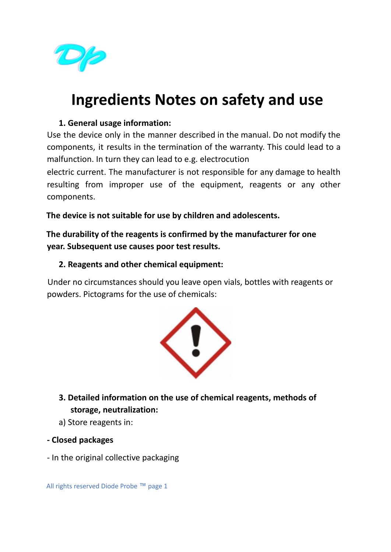

## **Ingredients Notes on safety and use**

## **1. General usage information:**

Use the device only in the manner described in the manual. Do not modify the components, it results in the termination of the warranty. This could lead to a malfunction. In turn they can lead to e.g. electrocution

electric current. The manufacturer is not responsible for any damage to health resulting from improper use of the equipment, reagents or any other components.

**The device is not suitable for use by children and adolescents.**

**The durability of the reagents is confirmed by the manufacturer for one year. Subsequent use causes poor test results.**

## **2. Reagents and other chemical equipment:**

Under no circumstances should you leave open vials, bottles with reagents or powders. Pictograms for the use of chemicals:



**3. Detailed information on the use of chemical reagents, methods of storage, neutralization:**

- a) Store reagents in:
- **- Closed packages**
- In the original collective packaging

All rights reserved Diode Probe ™ page 1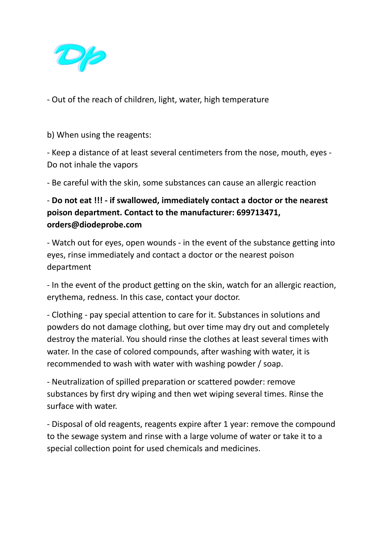

- Out of the reach of children, light, water, high temperature

b) When using the reagents:

- Keep a distance of at least several centimeters from the nose, mouth, eyes - Do not inhale the vapors

- Be careful with the skin, some substances can cause an allergic reaction

## - **Do not eat !!! - if swallowed, immediately contact a doctor or the nearest poison department. Contact to the manufacturer: 699713471, orders@diodeprobe.com**

- Watch out for eyes, open wounds - in the event of the substance getting into eyes, rinse immediately and contact a doctor or the nearest poison department

- In the event of the product getting on the skin, watch for an allergic reaction, erythema, redness. In this case, contact your doctor.

- Clothing - pay special attention to care for it. Substances in solutions and powders do not damage clothing, but over time may dry out and completely destroy the material. You should rinse the clothes at least several times with water. In the case of colored compounds, after washing with water, it is recommended to wash with water with washing powder / soap.

- Neutralization of spilled preparation or scattered powder: remove substances by first dry wiping and then wet wiping several times. Rinse the surface with water.

- Disposal of old reagents, reagents expire after 1 year: remove the compound to the sewage system and rinse with a large volume of water or take it to a special collection point for used chemicals and medicines.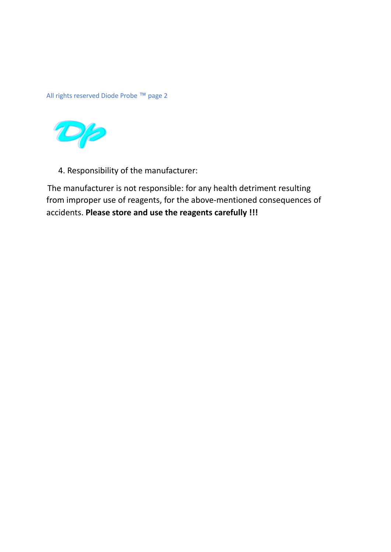All rights reserved Diode Probe ™ page 2



4. Responsibility of the manufacturer:

The manufacturer is not responsible: for any health detriment resulting from improper use of reagents, for the above-mentioned consequences of accidents. **Please store and use the reagents carefully !!!**